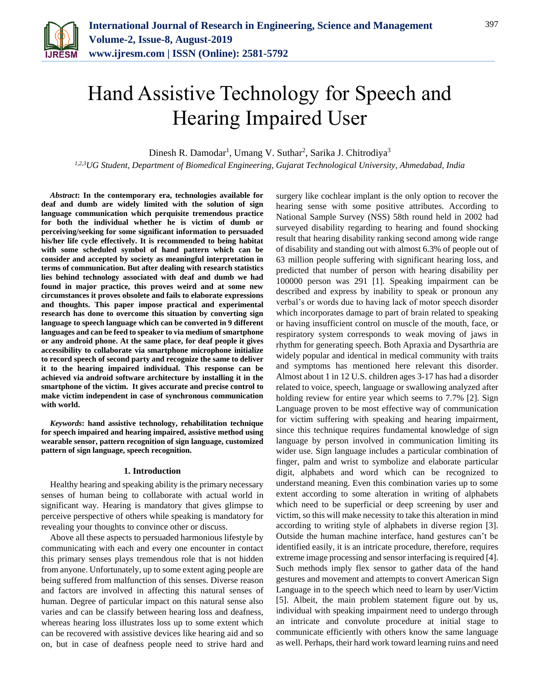

# Hand Assistive Technology for Speech and Hearing Impaired User

Dinesh R. Damodar<sup>1</sup>, Umang V. Suthar<sup>2</sup>, Sarika J. Chitrodiya<sup>3</sup>

*1,2,3UG Student, Department of Biomedical Engineering, Gujarat Technological University, Ahmedabad, India*

*Abstract***: In the contemporary era, technologies available for deaf and dumb are widely limited with the solution of sign language communication which perquisite tremendous practice for both the individual whether he is victim of dumb or perceiving/seeking for some significant information to persuaded his/her life cycle effectively. It is recommended to being habitat with some scheduled symbol of hand pattern which can be consider and accepted by society as meaningful interpretation in terms of communication. But after dealing with research statistics lies behind technology associated with deaf and dumb we had found in major practice, this proves weird and at some new circumstances it proves obsolete and fails to elaborate expressions and thoughts. This paper impose practical and experimental research has done to overcome this situation by converting sign language to speech language which can be converted in 9 different languages and can be feed to speaker to via medium of smartphone or any android phone. At the same place, for deaf people it gives accessibility to collaborate via smartphone microphone initialize to record speech of second party and recognize the same to deliver it to the hearing impaired individual. This response can be achieved via android software architecture by installing it in the smartphone of the victim. It gives accurate and precise control to make victim independent in case of synchronous communication with world.**

*Keywords***: hand assistive technology, rehabilitation technique for speech impaired and hearing impaired, assistive method using wearable sensor, pattern recognition of sign language, customized pattern of sign language, speech recognition.**

## **1. Introduction**

Healthy hearing and speaking ability is the primary necessary senses of human being to collaborate with actual world in significant way. Hearing is mandatory that gives glimpse to perceive perspective of others while speaking is mandatory for revealing your thoughts to convince other or discuss.

Above all these aspects to persuaded harmonious lifestyle by communicating with each and every one encounter in contact this primary senses plays tremendous role that is not hidden from anyone. Unfortunately, up to some extent aging people are being suffered from malfunction of this senses. Diverse reason and factors are involved in affecting this natural senses of human. Degree of particular impact on this natural sense also varies and can be classify between hearing loss and deafness, whereas hearing loss illustrates loss up to some extent which can be recovered with assistive devices like hearing aid and so on, but in case of deafness people need to strive hard and

surgery like cochlear implant is the only option to recover the hearing sense with some positive attributes. According to National Sample Survey (NSS) 58th round held in 2002 had surveyed disability regarding to hearing and found shocking result that hearing disability ranking second among wide range of disability and standing out with almost 6.3% of people out of 63 million people suffering with significant hearing loss, and predicted that number of person with hearing disability per 100000 person was 291 [1]. Speaking impairment can be described and express by inability to speak or pronoun any verbal's or words due to having lack of motor speech disorder which incorporates damage to part of brain related to speaking or having insufficient control on muscle of the mouth, face, or respiratory system corresponds to weak moving of jaws in rhythm for generating speech. Both Apraxia and Dysarthria are widely popular and identical in medical community with traits and symptoms has mentioned here relevant this disorder. Almost about 1 in 12 U.S. children ages 3-17 has had a disorder related to voice, speech, language or swallowing analyzed after holding review for entire year which seems to 7.7% [2]. Sign Language proven to be most effective way of communication for victim suffering with speaking and hearing impairment, since this technique requires fundamental knowledge of sign language by person involved in communication limiting its wider use. Sign language includes a particular combination of finger, palm and wrist to symbolize and elaborate particular digit, alphabets and word which can be recognized to understand meaning. Even this combination varies up to some extent according to some alteration in writing of alphabets which need to be superficial or deep screening by user and victim, so this will make necessity to take this alteration in mind according to writing style of alphabets in diverse region [3]. Outside the human machine interface, hand gestures can't be identified easily, it is an intricate procedure, therefore, requires extreme image processing and sensor interfacing is required [4]. Such methods imply flex sensor to gather data of the hand gestures and movement and attempts to convert American Sign Language in to the speech which need to learn by user/Victim [5]. Albeit, the main problem statement figure out by us, individual with speaking impairment need to undergo through an intricate and convolute procedure at initial stage to communicate efficiently with others know the same language as well. Perhaps, their hard work toward learning ruins and need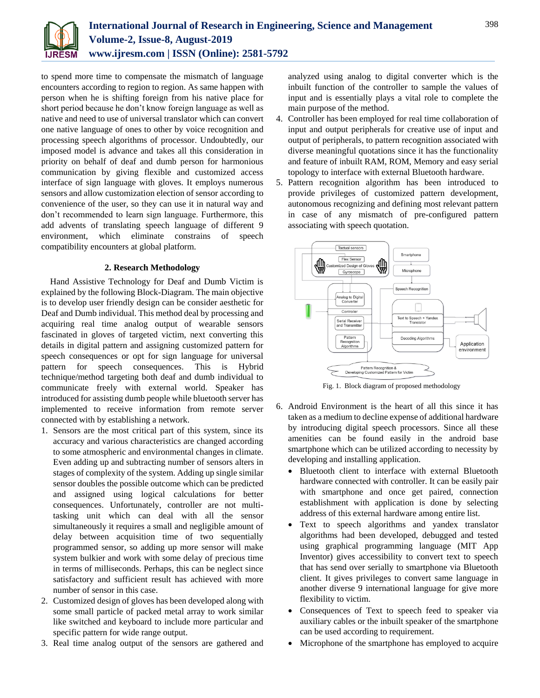

to spend more time to compensate the mismatch of language encounters according to region to region. As same happen with person when he is shifting foreign from his native place for short period because he don't know foreign language as well as native and need to use of universal translator which can convert one native language of ones to other by voice recognition and processing speech algorithms of processor. Undoubtedly, our imposed model is advance and takes all this consideration in priority on behalf of deaf and dumb person for harmonious communication by giving flexible and customized access interface of sign language with gloves. It employs numerous sensors and allow customization election of sensor according to convenience of the user, so they can use it in natural way and don't recommended to learn sign language. Furthermore, this add advents of translating speech language of different 9 environment, which eliminate constrains of speech compatibility encounters at global platform.

# **2. Research Methodology**

Hand Assistive Technology for Deaf and Dumb Victim is explained by the following Block-Diagram. The main objective is to develop user friendly design can be consider aesthetic for Deaf and Dumb individual. This method deal by processing and acquiring real time analog output of wearable sensors fascinated in gloves of targeted victim, next converting this details in digital pattern and assigning customized pattern for speech consequences or opt for sign language for universal pattern for speech consequences. This is Hybrid technique/method targeting both deaf and dumb individual to communicate freely with external world. Speaker has introduced for assisting dumb people while bluetooth server has implemented to receive information from remote server connected with by establishing a network.

- 1. Sensors are the most critical part of this system, since its accuracy and various characteristics are changed according to some atmospheric and environmental changes in climate. Even adding up and subtracting number of sensors alters in stages of complexity of the system. Adding up single similar sensor doubles the possible outcome which can be predicted and assigned using logical calculations for better consequences. Unfortunately, controller are not multitasking unit which can deal with all the sensor simultaneously it requires a small and negligible amount of delay between acquisition time of two sequentially programmed sensor, so adding up more sensor will make system bulkier and work with some delay of precious time in terms of milliseconds. Perhaps, this can be neglect since satisfactory and sufficient result has achieved with more number of sensor in this case.
- 2. Customized design of gloves has been developed along with some small particle of packed metal array to work similar like switched and keyboard to include more particular and specific pattern for wide range output.
- 3. Real time analog output of the sensors are gathered and

analyzed using analog to digital converter which is the inbuilt function of the controller to sample the values of input and is essentially plays a vital role to complete the main purpose of the method.

- 4. Controller has been employed for real time collaboration of input and output peripherals for creative use of input and output of peripherals, to pattern recognition associated with diverse meaningful quotations since it has the functionality and feature of inbuilt RAM, ROM, Memory and easy serial topology to interface with external Bluetooth hardware.
- 5. Pattern recognition algorithm has been introduced to provide privileges of customized pattern development, autonomous recognizing and defining most relevant pattern in case of any mismatch of pre-configured pattern associating with speech quotation.



Fig. 1. Block diagram of proposed methodology

- 6. Android Environment is the heart of all this since it has taken as a medium to decline expense of additional hardware by introducing digital speech processors. Since all these amenities can be found easily in the android base smartphone which can be utilized according to necessity by developing and installing application.
	- Bluetooth client to interface with external Bluetooth hardware connected with controller. It can be easily pair with smartphone and once get paired, connection establishment with application is done by selecting address of this external hardware among entire list.
	- Text to speech algorithms and yandex translator algorithms had been developed, debugged and tested using graphical programming language (MIT App Inventor) gives accessibility to convert text to speech that has send over serially to smartphone via Bluetooth client. It gives privileges to convert same language in another diverse 9 international language for give more flexibility to victim.
	- Consequences of Text to speech feed to speaker via auxiliary cables or the inbuilt speaker of the smartphone can be used according to requirement.
	- Microphone of the smartphone has employed to acquire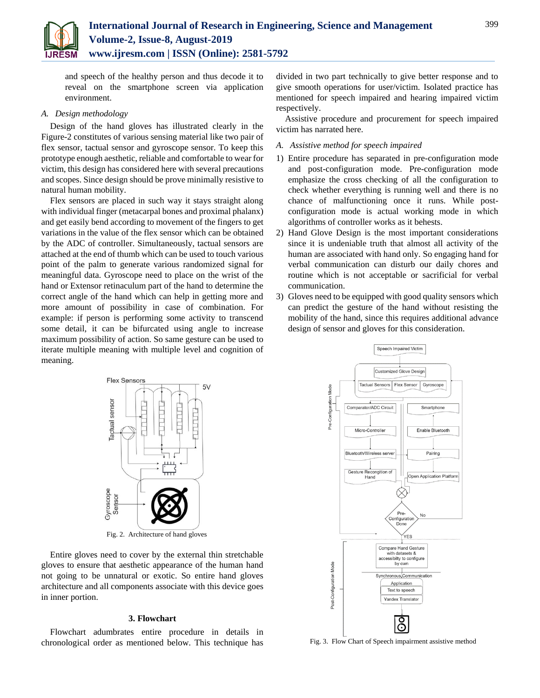

and speech of the healthy person and thus decode it to reveal on the smartphone screen via application environment.

# *A. Design methodology*

Design of the hand gloves has illustrated clearly in the Figure-2 constitutes of various sensing material like two pair of flex sensor, tactual sensor and gyroscope sensor. To keep this prototype enough aesthetic, reliable and comfortable to wear for victim, this design has considered here with several precautions and scopes. Since design should be prove minimally resistive to natural human mobility.

Flex sensors are placed in such way it stays straight along with individual finger (metacarpal bones and proximal phalanx) and get easily bend according to movement of the fingers to get variations in the value of the flex sensor which can be obtained by the ADC of controller. Simultaneously, tactual sensors are attached at the end of thumb which can be used to touch various point of the palm to generate various randomized signal for meaningful data. Gyroscope need to place on the wrist of the hand or Extensor retinaculum part of the hand to determine the correct angle of the hand which can help in getting more and more amount of possibility in case of combination. For example: if person is performing some activity to transcend some detail, it can be bifurcated using angle to increase maximum possibility of action. So same gesture can be used to iterate multiple meaning with multiple level and cognition of meaning.



Fig. 2. Architecture of hand gloves

Entire gloves need to cover by the external thin stretchable gloves to ensure that aesthetic appearance of the human hand not going to be unnatural or exotic. So entire hand gloves architecture and all components associate with this device goes in inner portion.

## **3. Flowchart**

Flowchart adumbrates entire procedure in details in chronological order as mentioned below. This technique has divided in two part technically to give better response and to give smooth operations for user/victim. Isolated practice has mentioned for speech impaired and hearing impaired victim respectively.

Assistive procedure and procurement for speech impaired victim has narrated here.

- *A. Assistive method for speech impaired*
- 1) Entire procedure has separated in pre-configuration mode and post-configuration mode. Pre-configuration mode emphasize the cross checking of all the configuration to check whether everything is running well and there is no chance of malfunctioning once it runs. While postconfiguration mode is actual working mode in which algorithms of controller works as it behests.
- 2) Hand Glove Design is the most important considerations since it is undeniable truth that almost all activity of the human are associated with hand only. So engaging hand for verbal communication can disturb our daily chores and routine which is not acceptable or sacrificial for verbal communication.
- 3) Gloves need to be equipped with good quality sensors which can predict the gesture of the hand without resisting the mobility of the hand, since this requires additional advance design of sensor and gloves for this consideration.



Fig. 3. Flow Chart of Speech impairment assistive method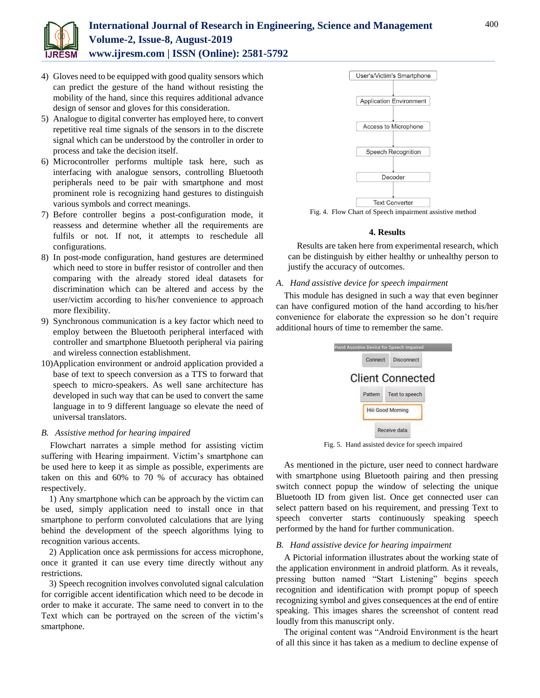

# **International Journal of Research in Engineering, Science and Management Volume-2, Issue-8, August-2019 www.ijresm.com | ISSN (Online): 2581-5792**

- 4) Gloves need to be equipped with good quality sensors which can predict the gesture of the hand without resisting the mobility of the hand, since this requires additional advance design of sensor and gloves for this consideration.
- 5) Analogue to digital converter has employed here, to convert repetitive real time signals of the sensors in to the discrete signal which can be understood by the controller in order to process and take the decision itself.
- 6) Microcontroller performs multiple task here, such as interfacing with analogue sensors, controlling Bluetooth peripherals need to be pair with smartphone and most prominent role is recognizing hand gestures to distinguish various symbols and correct meanings.
- 7) Before controller begins a post-configuration mode, it reassess and determine whether all the requirements are fulfils or not. If not, it attempts to reschedule all configurations.
- 8) In post-mode configuration, hand gestures are determined which need to store in buffer resistor of controller and then comparing with the already stored ideal datasets for discrimination which can be altered and access by the user/victim according to his/her convenience to approach more flexibility.
- 9) Synchronous communication is a key factor which need to employ between the Bluetooth peripheral interfaced with controller and smartphone Bluetooth peripheral via pairing and wireless connection establishment.
- 10)Application environment or android application provided a base of text to speech conversion as a TTS to forward that speech to micro-speakers. As well sane architecture has developed in such way that can be used to convert the same language in to 9 different language so elevate the need of universal translators.

## *B. Assistive method for hearing impaired*

Flowchart narrates a simple method for assisting victim suffering with Hearing impairment. Victim's smartphone can be used here to keep it as simple as possible, experiments are taken on this and 60% to 70 % of accuracy has obtained respectively.

1) Any smartphone which can be approach by the victim can be used, simply application need to install once in that smartphone to perform convoluted calculations that are lying behind the development of the speech algorithms lying to recognition various accents.

2) Application once ask permissions for access microphone, once it granted it can use every time directly without any restrictions.

3) Speech recognition involves convoluted signal calculation for corrigible accent identification which need to be decode in order to make it accurate. The same need to convert in to the Text which can be portrayed on the screen of the victim's smartphone.



Fig. 4. Flow Chart of Speech impairment assistive method

# **4. Results**

Results are taken here from experimental research, which can be distinguish by either healthy or unhealthy person to justify the accuracy of outcomes.

# *A. Hand assistive device for speech impairment*

This module has designed in such a way that even beginner can have configured motion of the hand according to his/her convenience for elaborate the expression so he don't require additional hours of time to remember the same.



Fig. 5. Hand assisted device for speech impaired

As mentioned in the picture, user need to connect hardware with smartphone using Bluetooth pairing and then pressing switch connect popup the window of selecting the unique Bluetooth ID from given list. Once get connected user can select pattern based on his requirement, and pressing Text to speech converter starts continuously speaking speech performed by the hand for further communication.

## *B. Hand assistive device for hearing impairment*

A Pictorial information illustrates about the working state of the application environment in android platform. As it reveals, pressing button named "Start Listening" begins speech recognition and identification with prompt popup of speech recognizing symbol and gives consequences at the end of entire speaking. This images shares the screenshot of content read loudly from this manuscript only.

The original content was "Android Environment is the heart of all this since it has taken as a medium to decline expense of